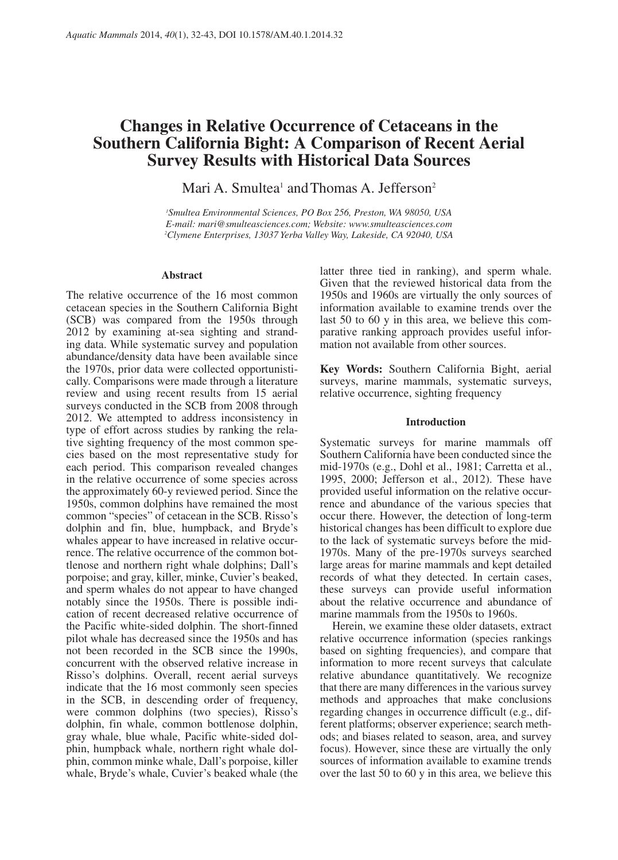# **Changes in Relative Occurrence of Cetaceans in the Southern California Bight: A Comparison of Recent Aerial Survey Results with Historical Data Sources**

Mari A. Smultea<sup>1</sup> and Thomas A. Jefferson<sup>2</sup>

*1 Smultea Environmental Sciences, PO Box 256, Preston, WA 98050, USA E-mail: mari@smulteasciences.com; Website: www.smulteasciences.com 2 Clymene Enterprises, 13037 Yerba Valley Way, Lakeside, CA 92040, USA*

### **Abstract**

The relative occurrence of the 16 most common cetacean species in the Southern California Bight (SCB) was compared from the 1950s through 2012 by examining at-sea sighting and stranding data. While systematic survey and population abundance/density data have been available since the 1970s, prior data were collected opportunistically. Comparisons were made through a literature review and using recent results from 15 aerial surveys conducted in the SCB from 2008 through 2012. We attempted to address inconsistency in type of effort across studies by ranking the relative sighting frequency of the most common species based on the most representative study for each period. This comparison revealed changes in the relative occurrence of some species across the approximately 60-y reviewed period. Since the 1950s, common dolphins have remained the most common "species" of cetacean in the SCB. Risso's dolphin and fin, blue, humpback, and Bryde's whales appear to have increased in relative occurrence. The relative occurrence of the common bottlenose and northern right whale dolphins; Dall's porpoise; and gray, killer, minke, Cuvier's beaked, and sperm whales do not appear to have changed notably since the 1950s. There is possible indication of recent decreased relative occurrence of the Pacific white-sided dolphin. The short-finned pilot whale has decreased since the 1950s and has not been recorded in the SCB since the 1990s, concurrent with the observed relative increase in Risso's dolphins. Overall, recent aerial surveys indicate that the 16 most commonly seen species in the SCB, in descending order of frequency, were common dolphins (two species), Risso's dolphin, fin whale, common bottlenose dolphin, gray whale, blue whale, Pacific white-sided dolphin, humpback whale, northern right whale dolphin, common minke whale, Dall's porpoise, killer whale, Bryde's whale, Cuvier's beaked whale (the

latter three tied in ranking), and sperm whale. Given that the reviewed historical data from the 1950s and 1960s are virtually the only sources of information available to examine trends over the last 50 to 60 y in this area, we believe this comparative ranking approach provides useful information not available from other sources.

**Key Words:** Southern California Bight, aerial surveys, marine mammals, systematic surveys, relative occurrence, sighting frequency

## **Introduction**

Systematic surveys for marine mammals off Southern California have been conducted since the mid-1970s (e.g., Dohl et al., 1981; Carretta et al., 1995, 2000; Jefferson et al., 2012). These have provided useful information on the relative occurrence and abundance of the various species that occur there. However, the detection of long-term historical changes has been difficult to explore due to the lack of systematic surveys before the mid-1970s. Many of the pre-1970s surveys searched large areas for marine mammals and kept detailed records of what they detected. In certain cases, these surveys can provide useful information about the relative occurrence and abundance of marine mammals from the 1950s to 1960s.

Herein, we examine these older datasets, extract relative occurrence information (species rankings based on sighting frequencies), and compare that information to more recent surveys that calculate relative abundance quantitatively. We recognize that there are many differences in the various survey methods and approaches that make conclusions regarding changes in occurrence difficult (e.g., different platforms; observer experience; search methods; and biases related to season, area, and survey focus). However, since these are virtually the only sources of information available to examine trends over the last 50 to 60 y in this area, we believe this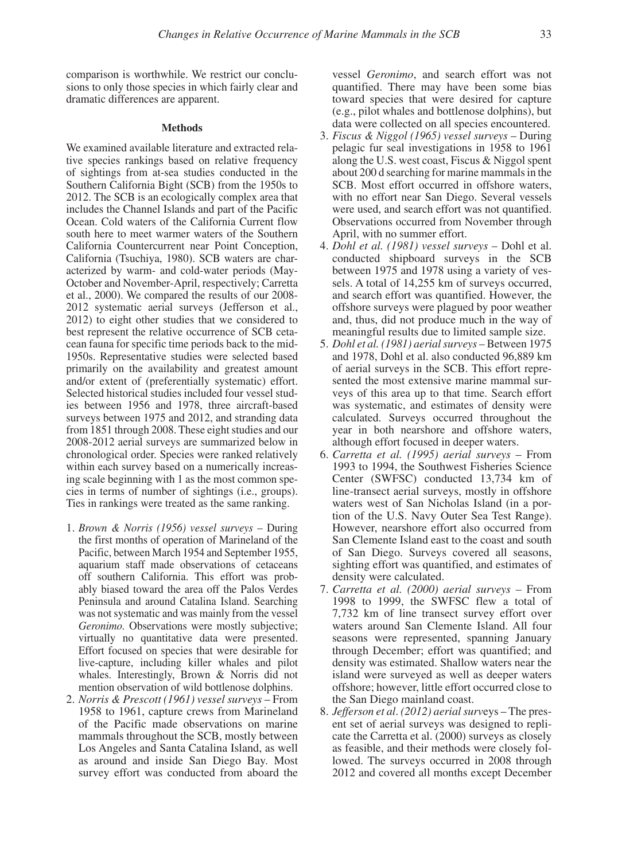comparison is worthwhile. We restrict our conclusions to only those species in which fairly clear and dramatic differences are apparent.

#### **Methods**

We examined available literature and extracted relative species rankings based on relative frequency of sightings from at-sea studies conducted in the Southern California Bight (SCB) from the 1950s to 2012. The SCB is an ecologically complex area that includes the Channel Islands and part of the Pacific Ocean. Cold waters of the California Current flow south here to meet warmer waters of the Southern California Countercurrent near Point Conception, California (Tsuchiya, 1980). SCB waters are characterized by warm- and cold-water periods (May-October and November-April, respectively; Carretta et al., 2000). We compared the results of our 2008- 2012 systematic aerial surveys (Jefferson et al., 2012) to eight other studies that we considered to best represent the relative occurrence of SCB cetacean fauna for specific time periods back to the mid-1950s. Representative studies were selected based primarily on the availability and greatest amount and/or extent of (preferentially systematic) effort. Selected historical studies included four vessel studies between 1956 and 1978, three aircraft-based surveys between 1975 and 2012, and stranding data from 1851 through 2008. These eight studies and our 2008-2012 aerial surveys are summarized below in chronological order. Species were ranked relatively within each survey based on a numerically increasing scale beginning with 1 as the most common species in terms of number of sightings (i.e., groups). Ties in rankings were treated as the same ranking.

- 1. *Brown & Norris (1956) vessel surveys* During the first months of operation of Marineland of the Pacific, between March 1954 and September 1955, aquarium staff made observations of cetaceans off southern California. This effort was probably biased toward the area off the Palos Verdes Peninsula and around Catalina Island. Searching was not systematic and was mainly from the vessel *Geronimo.* Observations were mostly subjective; virtually no quantitative data were presented. Effort focused on species that were desirable for live-capture, including killer whales and pilot whales. Interestingly, Brown & Norris did not mention observation of wild bottlenose dolphins.
- 2. *Norris & Prescott (1961) vessel surveys* From 1958 to 1961, capture crews from Marineland of the Pacific made observations on marine mammals throughout the SCB, mostly between Los Angeles and Santa Catalina Island, as well as around and inside San Diego Bay. Most survey effort was conducted from aboard the

vessel *Geronimo*, and search effort was not quantified. There may have been some bias toward species that were desired for capture (e.g., pilot whales and bottlenose dolphins), but data were collected on all species encountered.

- 3. *Fiscus & Niggol (1965) vessel surveys* During pelagic fur seal investigations in 1958 to 1961 along the U.S. west coast, Fiscus & Niggol spent about 200 d searching for marine mammals in the SCB. Most effort occurred in offshore waters, with no effort near San Diego. Several vessels were used, and search effort was not quantified. Observations occurred from November through April, with no summer effort.
- 4. *Dohl et al. (1981) vessel surveys*  Dohl et al. conducted shipboard surveys in the SCB between 1975 and 1978 using a variety of vessels. A total of 14,255 km of surveys occurred, and search effort was quantified. However, the offshore surveys were plagued by poor weather and, thus, did not produce much in the way of meaningful results due to limited sample size.
- 5. *Dohl et al. (1981) aerial surveys* Between 1975 and 1978, Dohl et al. also conducted 96,889 km of aerial surveys in the SCB. This effort represented the most extensive marine mammal surveys of this area up to that time. Search effort was systematic, and estimates of density were calculated. Surveys occurred throughout the year in both nearshore and offshore waters, although effort focused in deeper waters.
- 6. *Carretta et al. (1995) aerial surveys* From 1993 to 1994, the Southwest Fisheries Science Center (SWFSC) conducted 13,734 km of line-transect aerial surveys, mostly in offshore waters west of San Nicholas Island (in a portion of the U.S. Navy Outer Sea Test Range). However, nearshore effort also occurred from San Clemente Island east to the coast and south of San Diego. Surveys covered all seasons, sighting effort was quantified, and estimates of density were calculated.
- 7. *Carretta et al. (2000) aerial surveys* From 1998 to 1999, the SWFSC flew a total of 7,732 km of line transect survey effort over waters around San Clemente Island. All four seasons were represented, spanning January through December; effort was quantified; and density was estimated. Shallow waters near the island were surveyed as well as deeper waters offshore; however, little effort occurred close to the San Diego mainland coast.
- 8. *Jefferson et al*. *(2012) aerial surv*eys The present set of aerial surveys was designed to replicate the Carretta et al. (2000) surveys as closely as feasible, and their methods were closely followed. The surveys occurred in 2008 through 2012 and covered all months except December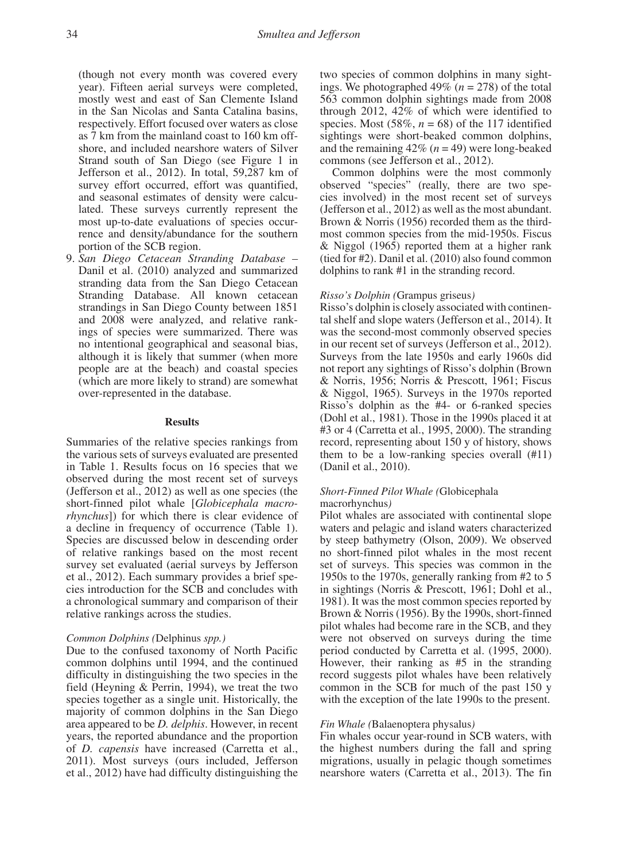(though not every month was covered every year). Fifteen aerial surveys were completed, mostly west and east of San Clemente Island in the San Nicolas and Santa Catalina basins, respectively. Effort focused over waters as close as 7 km from the mainland coast to 160 km offshore, and included nearshore waters of Silver Strand south of San Diego (see Figure 1 in Jefferson et al., 2012). In total, 59,287 km of survey effort occurred, effort was quantified, and seasonal estimates of density were calculated. These surveys currently represent the most up-to-date evaluations of species occurrence and density/abundance for the southern portion of the SCB region.

9. *San Diego Cetacean Stranding Database –* Danil et al. (2010) analyzed and summarized stranding data from the San Diego Cetacean Stranding Database. All known cetacean strandings in San Diego County between 1851 and 2008 were analyzed, and relative rankings of species were summarized. There was no intentional geographical and seasonal bias, although it is likely that summer (when more people are at the beach) and coastal species (which are more likely to strand) are somewhat over-represented in the database.

## **Results**

Summaries of the relative species rankings from the various sets of surveys evaluated are presented in Table 1. Results focus on 16 species that we observed during the most recent set of surveys (Jefferson et al., 2012) as well as one species (the short-finned pilot whale [*Globicephala macrorhynchus*]) for which there is clear evidence of a decline in frequency of occurrence (Table 1). Species are discussed below in descending order of relative rankings based on the most recent survey set evaluated (aerial surveys by Jefferson et al., 2012). Each summary provides a brief species introduction for the SCB and concludes with a chronological summary and comparison of their relative rankings across the studies.

#### *Common Dolphins (*Delphinus *spp.)*

Due to the confused taxonomy of North Pacific common dolphins until 1994, and the continued difficulty in distinguishing the two species in the field (Heyning & Perrin, 1994), we treat the two species together as a single unit. Historically, the majority of common dolphins in the San Diego area appeared to be *D. delphis*. However, in recent years, the reported abundance and the proportion of *D. capensis* have increased (Carretta et al., 2011). Most surveys (ours included, Jefferson et al., 2012) have had difficulty distinguishing the

two species of common dolphins in many sightings. We photographed  $49\%$  ( $n = 278$ ) of the total 563 common dolphin sightings made from 2008 through 2012, 42% of which were identified to species. Most  $(58\%, n = 68)$  of the 117 identified sightings were short-beaked common dolphins, and the remaining  $42\%$  ( $n = 49$ ) were long-beaked commons (see Jefferson et al., 2012).

Common dolphins were the most commonly observed "species" (really, there are two species involved) in the most recent set of surveys (Jefferson et al., 2012) as well as the most abundant. Brown & Norris (1956) recorded them as the thirdmost common species from the mid-1950s. Fiscus & Niggol (1965) reported them at a higher rank (tied for #2). Danil et al. (2010) also found common dolphins to rank #1 in the stranding record.

## *Risso's Dolphin (*Grampus griseus*)*

Risso's dolphin is closely associated with continental shelf and slope waters (Jefferson et al., 2014). It was the second-most commonly observed species in our recent set of surveys (Jefferson et al., 2012). Surveys from the late 1950s and early 1960s did not report any sightings of Risso's dolphin (Brown & Norris, 1956; Norris & Prescott, 1961; Fiscus & Niggol, 1965). Surveys in the 1970s reported Risso's dolphin as the #4- or 6-ranked species (Dohl et al., 1981). Those in the 1990s placed it at #3 or 4 (Carretta et al., 1995, 2000). The stranding record, representing about 150 y of history, shows them to be a low-ranking species overall (#11) (Danil et al., 2010).

## *Short-Finned Pilot Whale (*Globicephala

## macrorhynchus*)*

Pilot whales are associated with continental slope waters and pelagic and island waters characterized by steep bathymetry (Olson, 2009). We observed no short-finned pilot whales in the most recent set of surveys. This species was common in the 1950s to the 1970s, generally ranking from #2 to 5 in sightings (Norris & Prescott, 1961; Dohl et al., 1981). It was the most common species reported by Brown & Norris (1956). By the 1990s, short-finned pilot whales had become rare in the SCB, and they were not observed on surveys during the time period conducted by Carretta et al. (1995, 2000). However, their ranking as #5 in the stranding record suggests pilot whales have been relatively common in the SCB for much of the past 150 y with the exception of the late 1990s to the present.

#### *Fin Whale (*Balaenoptera physalus*)*

Fin whales occur year-round in SCB waters, with the highest numbers during the fall and spring migrations, usually in pelagic though sometimes nearshore waters (Carretta et al., 2013). The fin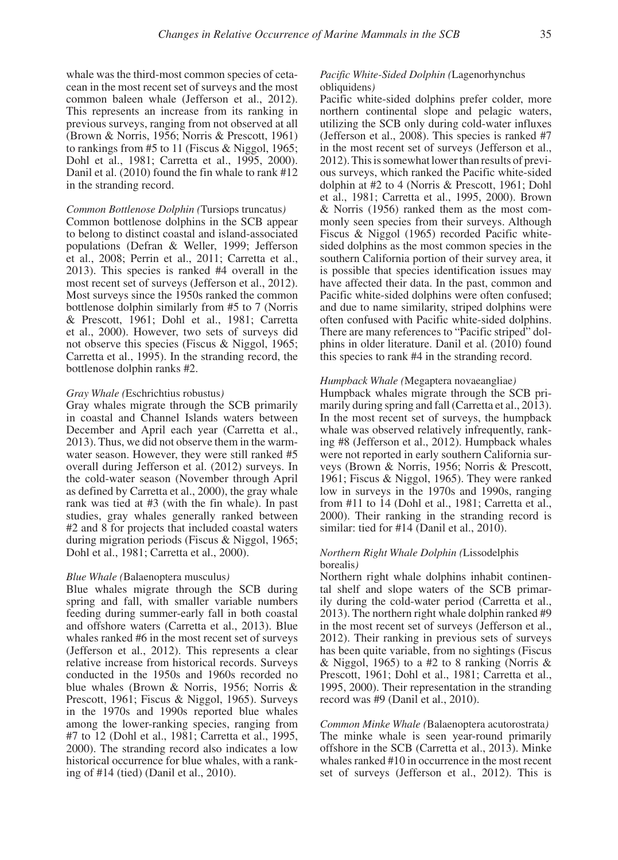whale was the third-most common species of cetacean in the most recent set of surveys and the most common baleen whale (Jefferson et al., 2012). This represents an increase from its ranking in previous surveys, ranging from not observed at all (Brown & Norris, 1956; Norris & Prescott, 1961) to rankings from #5 to 11 (Fiscus & Niggol, 1965; Dohl et al., 1981; Carretta et al., 1995, 2000). Danil et al. (2010) found the fin whale to rank #12 in the stranding record.

## *Common Bottlenose Dolphin (*Tursiops truncatus*)*

Common bottlenose dolphins in the SCB appear to belong to distinct coastal and island-associated populations (Defran & Weller, 1999; Jefferson et al., 2008; Perrin et al., 2011; Carretta et al., 2013). This species is ranked #4 overall in the most recent set of surveys (Jefferson et al., 2012). Most surveys since the 1950s ranked the common bottlenose dolphin similarly from #5 to 7 (Norris & Prescott, 1961; Dohl et al., 1981; Carretta et al., 2000). However, two sets of surveys did not observe this species (Fiscus & Niggol, 1965; Carretta et al., 1995). In the stranding record, the bottlenose dolphin ranks #2.

## *Gray Whale (*Eschrichtius robustus*)*

Gray whales migrate through the SCB primarily in coastal and Channel Islands waters between December and April each year (Carretta et al., 2013). Thus, we did not observe them in the warmwater season. However, they were still ranked #5 overall during Jefferson et al. (2012) surveys. In the cold-water season (November through April as defined by Carretta et al., 2000), the gray whale rank was tied at #3 (with the fin whale). In past studies, gray whales generally ranked between #2 and 8 for projects that included coastal waters during migration periods (Fiscus & Niggol, 1965; Dohl et al., 1981; Carretta et al., 2000).

#### *Blue Whale (*Balaenoptera musculus*)*

Blue whales migrate through the SCB during spring and fall, with smaller variable numbers feeding during summer-early fall in both coastal and offshore waters (Carretta et al., 2013). Blue whales ranked #6 in the most recent set of surveys (Jefferson et al., 2012). This represents a clear relative increase from historical records. Surveys conducted in the 1950s and 1960s recorded no blue whales (Brown & Norris, 1956; Norris & Prescott, 1961; Fiscus & Niggol, 1965). Surveys in the 1970s and 1990s reported blue whales among the lower-ranking species, ranging from #7 to 12 (Dohl et al., 1981; Carretta et al., 1995, 2000). The stranding record also indicates a low historical occurrence for blue whales, with a ranking of #14 (tied) (Danil et al., 2010).

## *Pacific White-Sided Dolphin (*Lagenorhynchus obliquidens*)*

Pacific white-sided dolphins prefer colder, more northern continental slope and pelagic waters, utilizing the SCB only during cold-water influxes (Jefferson et al., 2008). This species is ranked #7 in the most recent set of surveys (Jefferson et al., 2012). This is somewhat lower than results of previous surveys, which ranked the Pacific white-sided dolphin at #2 to 4 (Norris & Prescott, 1961; Dohl et al., 1981; Carretta et al., 1995, 2000). Brown & Norris (1956) ranked them as the most commonly seen species from their surveys. Although Fiscus & Niggol (1965) recorded Pacific whitesided dolphins as the most common species in the southern California portion of their survey area, it is possible that species identification issues may have affected their data. In the past, common and Pacific white-sided dolphins were often confused; and due to name similarity, striped dolphins were often confused with Pacific white-sided dolphins. There are many references to "Pacific striped" dolphins in older literature. Danil et al. (2010) found this species to rank #4 in the stranding record.

## *Humpback Whale (*Megaptera novaeangliae*)*

Humpback whales migrate through the SCB primarily during spring and fall (Carretta et al., 2013). In the most recent set of surveys, the humpback whale was observed relatively infrequently, ranking #8 (Jefferson et al., 2012). Humpback whales were not reported in early southern California surveys (Brown & Norris, 1956; Norris & Prescott, 1961; Fiscus & Niggol, 1965). They were ranked low in surveys in the 1970s and 1990s, ranging from #11 to 14 (Dohl et al., 1981; Carretta et al., 2000). Their ranking in the stranding record is similar: tied for #14 (Danil et al., 2010).

## *Northern Right Whale Dolphin (*Lissodelphis borealis*)*

Northern right whale dolphins inhabit continental shelf and slope waters of the SCB primarily during the cold-water period (Carretta et al., 2013). The northern right whale dolphin ranked #9 in the most recent set of surveys (Jefferson et al., 2012). Their ranking in previous sets of surveys has been quite variable, from no sightings (Fiscus & Niggol, 1965) to a #2 to 8 ranking (Norris & Prescott, 1961; Dohl et al., 1981; Carretta et al., 1995, 2000). Their representation in the stranding record was #9 (Danil et al., 2010).

*Common Minke Whale (*Balaenoptera acutorostrata*)* The minke whale is seen year-round primarily offshore in the SCB (Carretta et al., 2013). Minke whales ranked #10 in occurrence in the most recent set of surveys (Jefferson et al., 2012). This is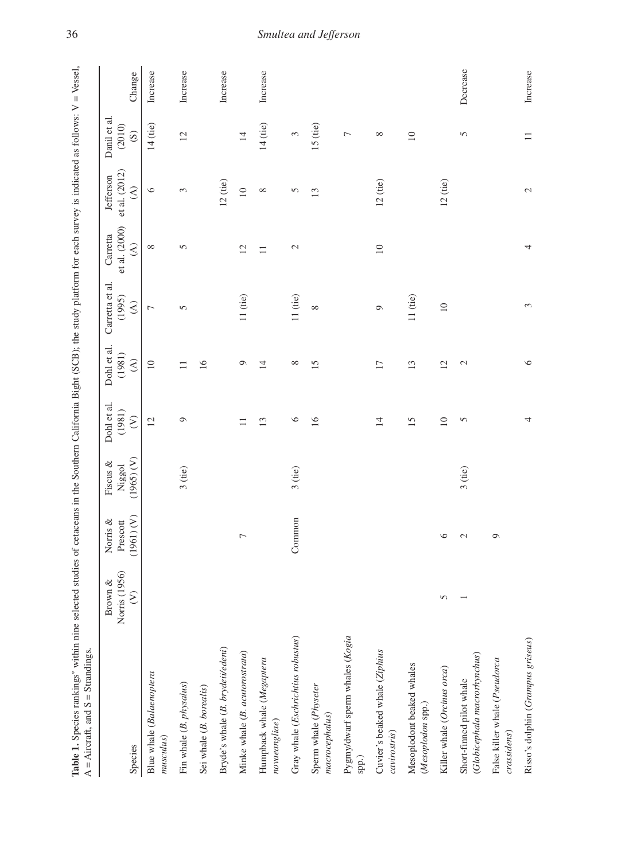| Table 1. Species rankings* within nine selected studies of cetaceans in the Southern California Bight (SCB); the study platform for each survey is indicated as follows: $V = V$ essel,<br>$A =$ Aircraft, and $S =$ Strandings. |                                        |                                    |                                  |                                     |                                                  |                                                       |                                                      |                                                       |                                                   |          |
|----------------------------------------------------------------------------------------------------------------------------------------------------------------------------------------------------------------------------------|----------------------------------------|------------------------------------|----------------------------------|-------------------------------------|--------------------------------------------------|-------------------------------------------------------|------------------------------------------------------|-------------------------------------------------------|---------------------------------------------------|----------|
| Species                                                                                                                                                                                                                          | Norris (1956)<br>Brown &<br>$\epsilon$ | (1961) (V)<br>Norris &<br>Prescott | (1965) (V)<br>Fiscus &<br>Niggol | Dohl et al.<br>(1981)<br>$\epsilon$ | Dohl et al.<br>(1981)<br>$\widehat{\mathcal{E}}$ | Carretta et al.<br>(1995)<br>$\widehat{\mathfrak{S}}$ | et al. (2000)<br>Carretta<br>$\widehat{\mathcal{E}}$ | et al. (2012)<br>Jefferson<br>$\widehat{\mathcal{E}}$ | Danil et al.<br>(2010)<br>$\widehat{\mathcal{S}}$ | Change   |
| Blue whale (Balaenoptera<br>musculus)                                                                                                                                                                                            |                                        |                                    |                                  | $\overline{12}$                     | $\overline{10}$                                  | $\overline{ }$                                        | ${}^{\circ}$                                         | $\circ$                                               | $14$ (tie)                                        | Increase |
| Fin whale (B. physalus)                                                                                                                                                                                                          |                                        |                                    | $3$ (tie)                        | $\circ$                             | $\Box$                                           | 5                                                     | $\overline{5}$                                       | 3                                                     | 12                                                | Increase |
| Sei whale (B. borealis)                                                                                                                                                                                                          |                                        |                                    |                                  |                                     | 16                                               |                                                       |                                                      |                                                       |                                                   |          |
| Bryde's whale (B. brydeii/edeni)                                                                                                                                                                                                 |                                        |                                    |                                  |                                     |                                                  |                                                       |                                                      | $12$ (tie)                                            |                                                   | Increase |
| Minke whale (B. acutorostrata)                                                                                                                                                                                                   |                                        | Γ                                  |                                  | $\Box$                              | Q                                                | 11(tie)                                               | 12                                                   | $\supseteq$                                           | $\overline{4}$                                    |          |
| Humpback whale (Megaptera<br>novaeangliae)                                                                                                                                                                                       |                                        |                                    |                                  | 13                                  | $\overline{4}$                                   |                                                       | $\equiv$                                             | ${}^{\infty}$                                         | $14$ (tie)                                        | Increase |
| Gray whale (Eschrichtius robustus)                                                                                                                                                                                               |                                        | Common                             | $3$ (tie)                        | $\circ$                             | ${}^{\circ}$                                     | 11(tie)                                               | $\mathcal{L}$                                        | $\sigma$                                              | 3                                                 |          |
| Sperm whale (Physeter<br>macrocephalus)                                                                                                                                                                                          |                                        |                                    |                                  | 16                                  | 15                                               | ${}^{\circ}$                                          |                                                      | 13                                                    | $15$ (tie)                                        |          |
| Pygmy/dwarf sperm whales (Kogia<br>spp.)                                                                                                                                                                                         |                                        |                                    |                                  |                                     |                                                  |                                                       |                                                      |                                                       | $\overline{ }$                                    |          |
| Cuvier's beaked whale (Ziphius<br>cavirostris)                                                                                                                                                                                   |                                        |                                    |                                  | $\overline{1}$                      | $\overline{17}$                                  | $\circ$                                               | $10$                                                 | $12$ (tie)                                            | ${}^{\circ}$                                      |          |
| Mesoplodont beaked whales<br>(Mesoplodon spp.)                                                                                                                                                                                   |                                        |                                    |                                  | 15                                  | 13                                               | $11$ (tie)                                            |                                                      |                                                       | $\overline{10}$                                   |          |
| Killer whale (Orcinus orca)                                                                                                                                                                                                      | 5                                      | $\circ$                            |                                  | $\overline{10}$                     | 12                                               | $\supseteq$                                           |                                                      | 12 <sub>(tie)</sub>                                   |                                                   |          |
| (Globicephala macrorhynchus)<br>Short-finned pilot whale                                                                                                                                                                         |                                        | $\mathcal{L}$                      | $3$ (tie)                        | 5                                   | $\mathbf 2$                                      |                                                       |                                                      |                                                       | 5                                                 | Decrease |
| False killer whale (Pseudorca<br>crassidens)                                                                                                                                                                                     |                                        | $\circ$                            |                                  |                                     |                                                  |                                                       |                                                      |                                                       |                                                   |          |
| Risso's dolphin (Grampus griseus)                                                                                                                                                                                                |                                        |                                    |                                  | 4                                   | $\circ$                                          | 3                                                     | 4                                                    | $\sim$                                                | $\equiv$                                          | Increase |

# 36 *Smultea and Jefferson*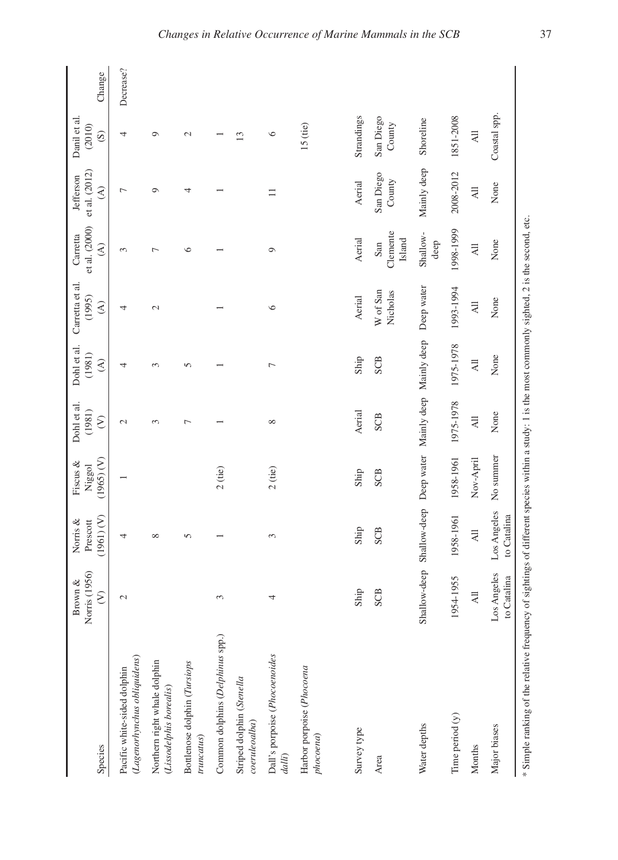| Species                                                                                                                                            | Norris (1956)<br>Brown &<br>$\epsilon$ | (1961) (V)<br>Norris &<br>Prescott | (1965) (V)<br>Fiscus $\&$<br>Niggol | Dohl et al.<br>(1981)<br>$\mathcal{E}$ | Dohl et al.<br>(1981)<br>$\widehat{\mathcal{E}}$ | Carretta et al.<br>(1995)<br>$\widehat{\mathcal{E}}$ | et al. (2000)<br>Carretta<br>$\widehat{\mathcal{E}}$ | et al. (2012)<br>Jefferson<br>$\widehat{\mathcal{E}}$ | Danil et al.<br>(2010)<br>$\odot$ | Change    |
|----------------------------------------------------------------------------------------------------------------------------------------------------|----------------------------------------|------------------------------------|-------------------------------------|----------------------------------------|--------------------------------------------------|------------------------------------------------------|------------------------------------------------------|-------------------------------------------------------|-----------------------------------|-----------|
| (Lagenorhynchus obliquidens)<br>Pacific white-sided dolphin                                                                                        | $\mathcal{L}$                          | 4                                  |                                     | $\mathcal{L}$                          | 4                                                | 4                                                    | 3                                                    | $\overline{ }$                                        | 4                                 | Decrease? |
| Northern right whale dolphin<br>(Lissodelphis borealis)                                                                                            |                                        | $\infty$                           |                                     | 3                                      | $\sim$                                           | $\mathcal{L}$                                        | Γ                                                    | $\circ$                                               | ۰                                 |           |
| Bottlenose dolphin (Tursiops<br>truncatus)                                                                                                         |                                        | 5                                  |                                     | $\overline{ }$                         | 5                                                |                                                      | ৩                                                    | 4                                                     | $\mathcal{L}$                     |           |
| Common dolphins (Delphinus spp.)                                                                                                                   | 3                                      |                                    | $2$ (tie)                           |                                        |                                                  |                                                      |                                                      |                                                       |                                   |           |
| Striped dolphin (Stenella<br>coenileoalba)                                                                                                         |                                        |                                    |                                     |                                        |                                                  |                                                      |                                                      |                                                       | $\mathbf{r}$                      |           |
| Dall's porpoise (Phocoenoides<br>dalli)                                                                                                            | 4                                      | 3                                  | $2$ (tie)                           | $\infty$                               | $\overline{ }$                                   | $\circ$                                              | $\circ$                                              | Ξ                                                     | $\circ$                           |           |
| Harbor porpoise (Phocoena<br>phocvena)                                                                                                             |                                        |                                    |                                     |                                        |                                                  |                                                      |                                                      |                                                       | 15 (tie)                          |           |
| Survey type                                                                                                                                        | Ship                                   | Ship                               | Ship                                | Aerial                                 | Ship                                             | Aerial                                               | Aerial                                               | Aerial                                                | Strandings                        |           |
| Area                                                                                                                                               | SCB                                    | SCB                                | SCB                                 | <b>SCB</b>                             | SCB                                              | W of San<br>Nicholas                                 | Clemente<br>Island<br>San                            | San Diego<br>County                                   | San Diego<br>County               |           |
| Water depths                                                                                                                                       | Shallow-deep                           | Shallow-deep                       |                                     | Deep water Mainly deep Mainly deep     |                                                  | Deep water                                           | Shallow-<br>deep                                     | Mainly deep                                           | Shoreline                         |           |
| Time period (y)                                                                                                                                    | 1954-1955                              | 1958-1961                          | 1958-1961                           | 1975-1978                              | 1975-1978                                        | 1993-1994                                            | 1998-1999                                            | 2008-2012                                             | 1851-2008                         |           |
| Months                                                                                                                                             | $\overline{AB}$                        | $\overline{AB}$                    | Nov-April                           | $\overline{AB}$                        | $\overline{AB}$                                  | $\overline{AB}$                                      | $\overline{AB}$                                      | $\overline{AB}$                                       | $\overline{A}$                    |           |
| Major biases                                                                                                                                       | Los Angeles<br>to Catalina             | Los Angeles<br>to Catalina         | No summer                           | None                                   | None                                             | None                                                 | None                                                 | None                                                  | Coastal spp.                      |           |
| * Simple ranking of the relative frequency of sightings of different species within a study: 1 is the most commonly sighted, 2 is the second, etc. |                                        |                                    |                                     |                                        |                                                  |                                                      |                                                      |                                                       |                                   |           |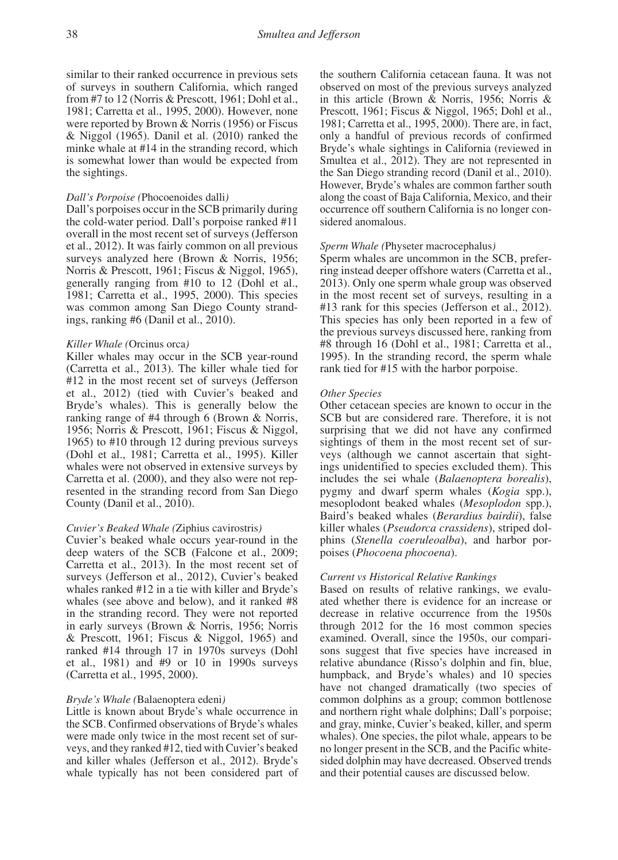similar to their ranked occurrence in previous sets of surveys in southern California, which ranged from #7 to 12 (Norris & Prescott, 1961; Dohl et al., 1981; Carretta et al., 1995, 2000). However, none were reported by Brown & Norris (1956) or Fiscus & Niggol (1965). Danil et al. (2010) ranked the minke whale at #14 in the stranding record, which is somewhat lower than would be expected from the sightings.

## *Dall's Porpoise (*Phocoenoides dalli*)*

Dall's porpoises occur in the SCB primarily during the cold-water period. Dall's porpoise ranked #11 overall in the most recent set of surveys (Jefferson et al., 2012). It was fairly common on all previous surveys analyzed here (Brown & Norris, 1956; Norris & Prescott, 1961; Fiscus & Niggol, 1965), generally ranging from #10 to 12 (Dohl et al., 1981; Carretta et al., 1995, 2000). This species was common among San Diego County strandings, ranking #6 (Danil et al., 2010).

## *Killer Whale (*Orcinus orca*)*

Killer whales may occur in the SCB year-round (Carretta et al., 2013). The killer whale tied for #12 in the most recent set of surveys (Jefferson et al., 2012) (tied with Cuvier's beaked and Bryde's whales). This is generally below the ranking range of #4 through 6 (Brown & Norris, 1956; Norris & Prescott, 1961; Fiscus & Niggol, 1965) to #10 through 12 during previous surveys (Dohl et al., 1981; Carretta et al., 1995). Killer whales were not observed in extensive surveys by Carretta et al. (2000), and they also were not represented in the stranding record from San Diego County (Danil et al., 2010).

#### *Cuvier's Beaked Whale (*Ziphius cavirostris*)*

Cuvier's beaked whale occurs year-round in the deep waters of the SCB (Falcone et al., 2009; Carretta et al., 2013). In the most recent set of surveys (Jefferson et al., 2012), Cuvier's beaked whales ranked #12 in a tie with killer and Bryde's whales (see above and below), and it ranked #8 in the stranding record. They were not reported in early surveys (Brown & Norris, 1956; Norris & Prescott, 1961; Fiscus & Niggol, 1965) and ranked #14 through 17 in 1970s surveys (Dohl et al., 1981) and #9 or 10 in 1990s surveys (Carretta et al., 1995, 2000).

## *Bryde's Whale (*Balaenoptera edeni*)*

Little is known about Bryde's whale occurrence in the SCB. Confirmed observations of Bryde's whales were made only twice in the most recent set of surveys, and they ranked #12, tied with Cuvier's beaked and killer whales (Jefferson et al., 2012). Bryde's whale typically has not been considered part of

the southern California cetacean fauna. It was not observed on most of the previous surveys analyzed in this article (Brown & Norris, 1956; Norris & Prescott, 1961; Fiscus & Niggol, 1965; Dohl et al., 1981; Carretta et al., 1995, 2000). There are, in fact, only a handful of previous records of confirmed Bryde's whale sightings in California (reviewed in Smultea et al., 2012). They are not represented in the San Diego stranding record (Danil et al., 2010). However, Bryde's whales are common farther south along the coast of Baja California, Mexico, and their occurrence off southern California is no longer considered anomalous.

## *Sperm Whale (*Physeter macrocephalus*)*

Sperm whales are uncommon in the SCB, preferring instead deeper offshore waters (Carretta et al., 2013). Only one sperm whale group was observed in the most recent set of surveys, resulting in a #13 rank for this species (Jefferson et al., 2012). This species has only been reported in a few of the previous surveys discussed here, ranking from #8 through 16 (Dohl et al., 1981; Carretta et al., 1995). In the stranding record, the sperm whale rank tied for #15 with the harbor porpoise.

## *Other Species*

Other cetacean species are known to occur in the SCB but are considered rare. Therefore, it is not surprising that we did not have any confirmed sightings of them in the most recent set of surveys (although we cannot ascertain that sightings unidentified to species excluded them). This includes the sei whale (*Balaenoptera borealis*), pygmy and dwarf sperm whales (*Kogia* spp.), mesoplodont beaked whales (*Mesoplodon* spp.), Baird's beaked whales (*Berardius bairdii*), false killer whales (*Pseudorca crassidens*), striped dolphins (*Stenella coeruleoalba*), and harbor porpoises (*Phocoena phocoena*).

## *Current vs Historical Relative Rankings*

Based on results of relative rankings, we evaluated whether there is evidence for an increase or decrease in relative occurrence from the 1950s through 2012 for the 16 most common species examined. Overall, since the 1950s, our comparisons suggest that five species have increased in relative abundance (Risso's dolphin and fin, blue, humpback, and Bryde's whales) and 10 species have not changed dramatically (two species of common dolphins as a group; common bottlenose and northern right whale dolphins; Dall's porpoise; and gray, minke, Cuvier's beaked, killer, and sperm whales). One species, the pilot whale, appears to be no longer present in the SCB, and the Pacific whitesided dolphin may have decreased. Observed trends and their potential causes are discussed below.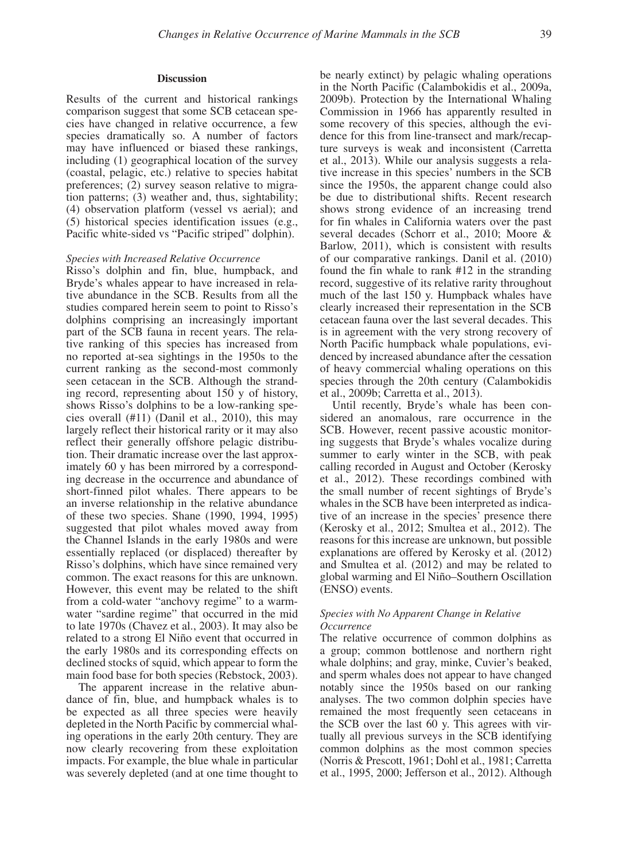## **Discussion**

Results of the current and historical rankings comparison suggest that some SCB cetacean species have changed in relative occurrence, a few species dramatically so. A number of factors may have influenced or biased these rankings, including (1) geographical location of the survey (coastal, pelagic, etc.) relative to species habitat preferences; (2) survey season relative to migration patterns; (3) weather and, thus, sightability; (4) observation platform (vessel vs aerial); and (5) historical species identification issues (e.g., Pacific white-sided vs "Pacific striped" dolphin).

#### *Species with Increased Relative Occurrence*

Risso's dolphin and fin, blue, humpback, and Bryde's whales appear to have increased in relative abundance in the SCB. Results from all the studies compared herein seem to point to Risso's dolphins comprising an increasingly important part of the SCB fauna in recent years. The relative ranking of this species has increased from no reported at-sea sightings in the 1950s to the current ranking as the second-most commonly seen cetacean in the SCB. Although the stranding record, representing about 150 y of history, shows Risso's dolphins to be a low-ranking species overall (#11) (Danil et al., 2010), this may largely reflect their historical rarity or it may also reflect their generally offshore pelagic distribution. Their dramatic increase over the last approximately 60 y has been mirrored by a corresponding decrease in the occurrence and abundance of short-finned pilot whales. There appears to be an inverse relationship in the relative abundance of these two species. Shane (1990, 1994, 1995) suggested that pilot whales moved away from the Channel Islands in the early 1980s and were essentially replaced (or displaced) thereafter by Risso's dolphins, which have since remained very common. The exact reasons for this are unknown. However, this event may be related to the shift from a cold-water "anchovy regime" to a warmwater "sardine regime" that occurred in the mid to late 1970s (Chavez et al., 2003). It may also be related to a strong El Niño event that occurred in the early 1980s and its corresponding effects on declined stocks of squid, which appear to form the main food base for both species (Rebstock, 2003).

The apparent increase in the relative abundance of fin, blue, and humpback whales is to be expected as all three species were heavily depleted in the North Pacific by commercial whaling operations in the early 20th century. They are now clearly recovering from these exploitation impacts. For example, the blue whale in particular was severely depleted (and at one time thought to

be nearly extinct) by pelagic whaling operations in the North Pacific (Calambokidis et al., 2009a, 2009b). Protection by the International Whaling Commission in 1966 has apparently resulted in some recovery of this species, although the evidence for this from line-transect and mark/recapture surveys is weak and inconsistent (Carretta et al., 2013). While our analysis suggests a relative increase in this species' numbers in the SCB since the 1950s, the apparent change could also be due to distributional shifts. Recent research shows strong evidence of an increasing trend for fin whales in California waters over the past several decades (Schorr et al., 2010; Moore & Barlow, 2011), which is consistent with results of our comparative rankings. Danil et al. (2010) found the fin whale to rank #12 in the stranding record, suggestive of its relative rarity throughout much of the last 150 y. Humpback whales have clearly increased their representation in the SCB cetacean fauna over the last several decades. This is in agreement with the very strong recovery of North Pacific humpback whale populations, evidenced by increased abundance after the cessation of heavy commercial whaling operations on this species through the 20th century (Calambokidis et al., 2009b; Carretta et al., 2013).

Until recently, Bryde's whale has been considered an anomalous, rare occurrence in the SCB. However, recent passive acoustic monitoring suggests that Bryde's whales vocalize during summer to early winter in the SCB, with peak calling recorded in August and October (Kerosky et al., 2012). These recordings combined with the small number of recent sightings of Bryde's whales in the SCB have been interpreted as indicative of an increase in the species' presence there (Kerosky et al., 2012; Smultea et al., 2012). The reasons for this increase are unknown, but possible explanations are offered by Kerosky et al. (2012) and Smultea et al. (2012) and may be related to global warming and El Niño–Southern Oscillation (ENSO) events.

## *Species with No Apparent Change in Relative Occurrence*

The relative occurrence of common dolphins as a group; common bottlenose and northern right whale dolphins; and gray, minke, Cuvier's beaked, and sperm whales does not appear to have changed notably since the 1950s based on our ranking analyses. The two common dolphin species have remained the most frequently seen cetaceans in the SCB over the last 60 y. This agrees with virtually all previous surveys in the SCB identifying common dolphins as the most common species (Norris & Prescott, 1961; Dohl et al., 1981; Carretta et al., 1995, 2000; Jefferson et al., 2012). Although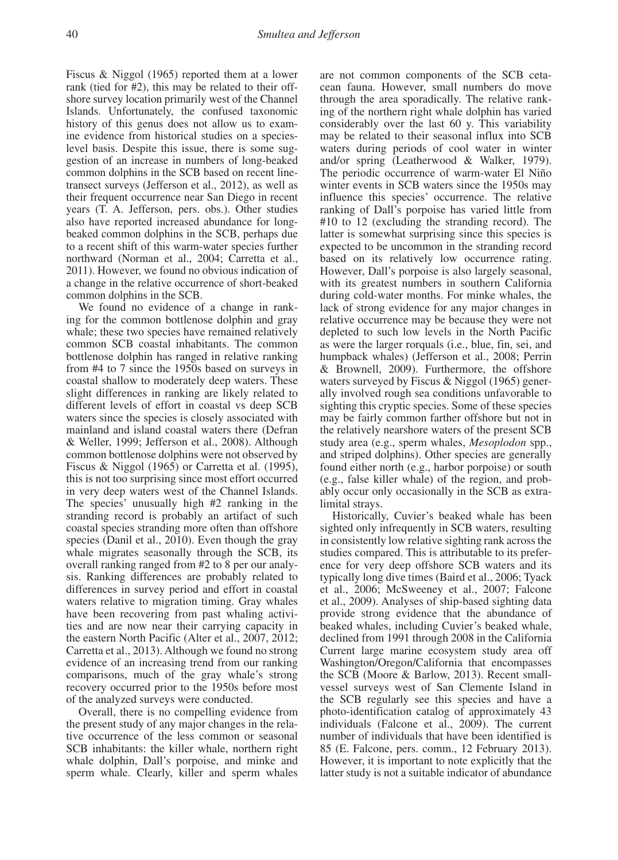Fiscus & Niggol (1965) reported them at a lower rank (tied for #2), this may be related to their offshore survey location primarily west of the Channel Islands. Unfortunately, the confused taxonomic history of this genus does not allow us to examine evidence from historical studies on a specieslevel basis. Despite this issue, there is some suggestion of an increase in numbers of long-beaked common dolphins in the SCB based on recent linetransect surveys (Jefferson et al., 2012), as well as their frequent occurrence near San Diego in recent years (T. A. Jefferson, pers. obs.). Other studies also have reported increased abundance for longbeaked common dolphins in the SCB, perhaps due to a recent shift of this warm-water species further northward (Norman et al., 2004; Carretta et al., 2011). However, we found no obvious indication of a change in the relative occurrence of short-beaked common dolphins in the SCB.

We found no evidence of a change in ranking for the common bottlenose dolphin and gray whale; these two species have remained relatively common SCB coastal inhabitants. The common bottlenose dolphin has ranged in relative ranking from #4 to 7 since the 1950s based on surveys in coastal shallow to moderately deep waters. These slight differences in ranking are likely related to different levels of effort in coastal vs deep SCB waters since the species is closely associated with mainland and island coastal waters there (Defran & Weller, 1999; Jefferson et al., 2008). Although common bottlenose dolphins were not observed by Fiscus & Niggol (1965) or Carretta et al. (1995), this is not too surprising since most effort occurred in very deep waters west of the Channel Islands. The species' unusually high #2 ranking in the stranding record is probably an artifact of such coastal species stranding more often than offshore species (Danil et al., 2010). Even though the gray whale migrates seasonally through the SCB, its overall ranking ranged from #2 to 8 per our analysis. Ranking differences are probably related to differences in survey period and effort in coastal waters relative to migration timing. Gray whales have been recovering from past whaling activities and are now near their carrying capacity in the eastern North Pacific (Alter et al., 2007, 2012; Carretta et al., 2013). Although we found no strong evidence of an increasing trend from our ranking comparisons, much of the gray whale's strong recovery occurred prior to the 1950s before most of the analyzed surveys were conducted.

Overall, there is no compelling evidence from the present study of any major changes in the relative occurrence of the less common or seasonal SCB inhabitants: the killer whale, northern right whale dolphin, Dall's porpoise, and minke and sperm whale. Clearly, killer and sperm whales are not common components of the SCB cetacean fauna. However, small numbers do move through the area sporadically. The relative ranking of the northern right whale dolphin has varied considerably over the last 60 y. This variability may be related to their seasonal influx into SCB waters during periods of cool water in winter and/or spring (Leatherwood & Walker, 1979). The periodic occurrence of warm-water El Niño winter events in SCB waters since the 1950s may influence this species' occurrence. The relative ranking of Dall's porpoise has varied little from #10 to 12 (excluding the stranding record). The latter is somewhat surprising since this species is expected to be uncommon in the stranding record based on its relatively low occurrence rating. However, Dall's porpoise is also largely seasonal, with its greatest numbers in southern California during cold-water months. For minke whales, the lack of strong evidence for any major changes in relative occurrence may be because they were not depleted to such low levels in the North Pacific as were the larger rorquals (i.e., blue, fin, sei, and humpback whales) (Jefferson et al., 2008; Perrin & Brownell, 2009). Furthermore, the offshore waters surveyed by Fiscus & Niggol (1965) generally involved rough sea conditions unfavorable to sighting this cryptic species. Some of these species may be fairly common farther offshore but not in the relatively nearshore waters of the present SCB study area (e.g., sperm whales, *Mesoplodon* spp., and striped dolphins). Other species are generally found either north (e.g., harbor porpoise) or south (e.g., false killer whale) of the region, and probably occur only occasionally in the SCB as extralimital strays.

Historically, Cuvier's beaked whale has been sighted only infrequently in SCB waters, resulting in consistently low relative sighting rank across the studies compared. This is attributable to its preference for very deep offshore SCB waters and its typically long dive times (Baird et al., 2006; Tyack et al., 2006; McSweeney et al., 2007; Falcone et al., 2009). Analyses of ship-based sighting data provide strong evidence that the abundance of beaked whales, including Cuvier's beaked whale, declined from 1991 through 2008 in the California Current large marine ecosystem study area off Washington/Oregon/California that encompasses the SCB (Moore & Barlow, 2013). Recent smallvessel surveys west of San Clemente Island in the SCB regularly see this species and have a photo-identification catalog of approximately 43 individuals (Falcone et al., 2009). The current number of individuals that have been identified is 85 (E. Falcone, pers. comm., 12 February 2013). However, it is important to note explicitly that the latter study is not a suitable indicator of abundance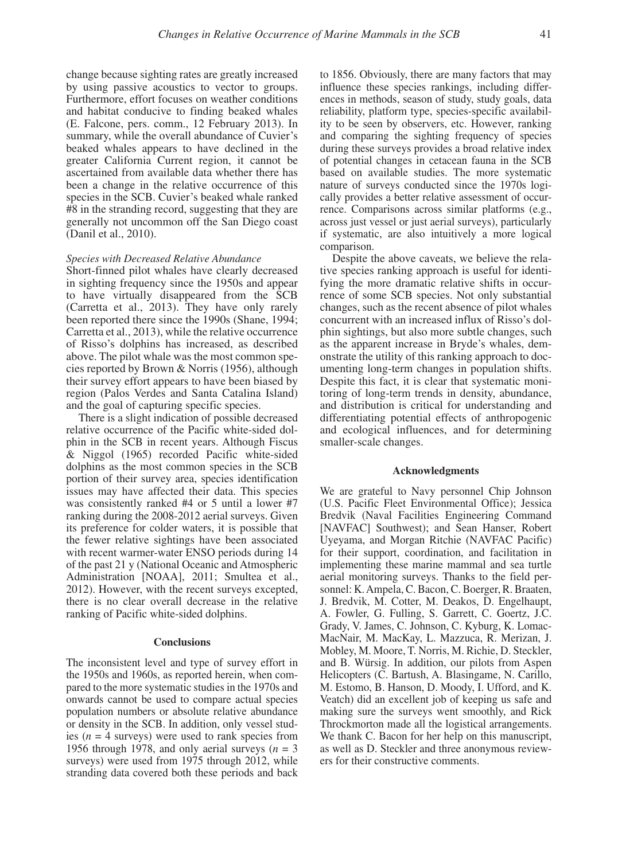change because sighting rates are greatly increased by using passive acoustics to vector to groups. Furthermore, effort focuses on weather conditions and habitat conducive to finding beaked whales (E. Falcone, pers. comm., 12 February 2013). In summary, while the overall abundance of Cuvier's beaked whales appears to have declined in the greater California Current region, it cannot be ascertained from available data whether there has been a change in the relative occurrence of this species in the SCB. Cuvier's beaked whale ranked #8 in the stranding record, suggesting that they are generally not uncommon off the San Diego coast (Danil et al., 2010).

#### *Species with Decreased Relative Abundance*

Short-finned pilot whales have clearly decreased in sighting frequency since the 1950s and appear to have virtually disappeared from the SCB (Carretta et al., 2013). They have only rarely been reported there since the 1990s (Shane, 1994; Carretta et al., 2013), while the relative occurrence of Risso's dolphins has increased, as described above. The pilot whale was the most common species reported by Brown & Norris (1956), although their survey effort appears to have been biased by region (Palos Verdes and Santa Catalina Island) and the goal of capturing specific species.

There is a slight indication of possible decreased relative occurrence of the Pacific white-sided dolphin in the SCB in recent years. Although Fiscus & Niggol (1965) recorded Pacific white-sided dolphins as the most common species in the SCB portion of their survey area, species identification issues may have affected their data. This species was consistently ranked #4 or 5 until a lower #7 ranking during the 2008-2012 aerial surveys. Given its preference for colder waters, it is possible that the fewer relative sightings have been associated with recent warmer-water ENSO periods during 14 of the past 21 y (National Oceanic and Atmospheric Administration [NOAA], 2011; Smultea et al., 2012). However, with the recent surveys excepted, there is no clear overall decrease in the relative ranking of Pacific white-sided dolphins.

#### **Conclusions**

The inconsistent level and type of survey effort in the 1950s and 1960s, as reported herein, when compared to the more systematic studies in the 1970s and onwards cannot be used to compare actual species population numbers or absolute relative abundance or density in the SCB. In addition, only vessel studies ( $n = 4$  surveys) were used to rank species from 1956 through 1978, and only aerial surveys  $(n = 3)$ surveys) were used from 1975 through 2012, while stranding data covered both these periods and back to 1856. Obviously, there are many factors that may influence these species rankings, including differences in methods, season of study, study goals, data reliability, platform type, species-specific availability to be seen by observers, etc. However, ranking and comparing the sighting frequency of species during these surveys provides a broad relative index of potential changes in cetacean fauna in the SCB based on available studies. The more systematic nature of surveys conducted since the 1970s logically provides a better relative assessment of occurrence. Comparisons across similar platforms (e.g., across just vessel or just aerial surveys), particularly if systematic, are also intuitively a more logical comparison.

Despite the above caveats, we believe the relative species ranking approach is useful for identifying the more dramatic relative shifts in occurrence of some SCB species. Not only substantial changes, such as the recent absence of pilot whales concurrent with an increased influx of Risso's dolphin sightings, but also more subtle changes, such as the apparent increase in Bryde's whales, demonstrate the utility of this ranking approach to documenting long-term changes in population shifts. Despite this fact, it is clear that systematic monitoring of long-term trends in density, abundance, and distribution is critical for understanding and differentiating potential effects of anthropogenic and ecological influences, and for determining smaller-scale changes.

## **Acknowledgments**

We are grateful to Navy personnel Chip Johnson (U.S. Pacific Fleet Environmental Office); Jessica Bredvik (Naval Facilities Engineering Command [NAVFAC] Southwest); and Sean Hanser, Robert Uyeyama, and Morgan Ritchie (NAVFAC Pacific) for their support, coordination, and facilitation in implementing these marine mammal and sea turtle aerial monitoring surveys. Thanks to the field personnel: K. Ampela, C. Bacon, C. Boerger, R. Braaten, J. Bredvik, M. Cotter, M. Deakos, D. Engelhaupt, A. Fowler, G. Fulling, S. Garrett, C. Goertz, J.C. Grady, V. James, C. Johnson, C. Kyburg, K. Lomac-MacNair, M. MacKay, L. Mazzuca, R. Merizan, J. Mobley, M. Moore, T. Norris, M. Richie, D. Steckler, and B. Würsig. In addition, our pilots from Aspen Helicopters (C. Bartush, A. Blasingame, N. Carillo, M. Estomo, B. Hanson, D. Moody, I. Ufford, and K. Veatch) did an excellent job of keeping us safe and making sure the surveys went smoothly, and Rick Throckmorton made all the logistical arrangements. We thank C. Bacon for her help on this manuscript, as well as D. Steckler and three anonymous reviewers for their constructive comments.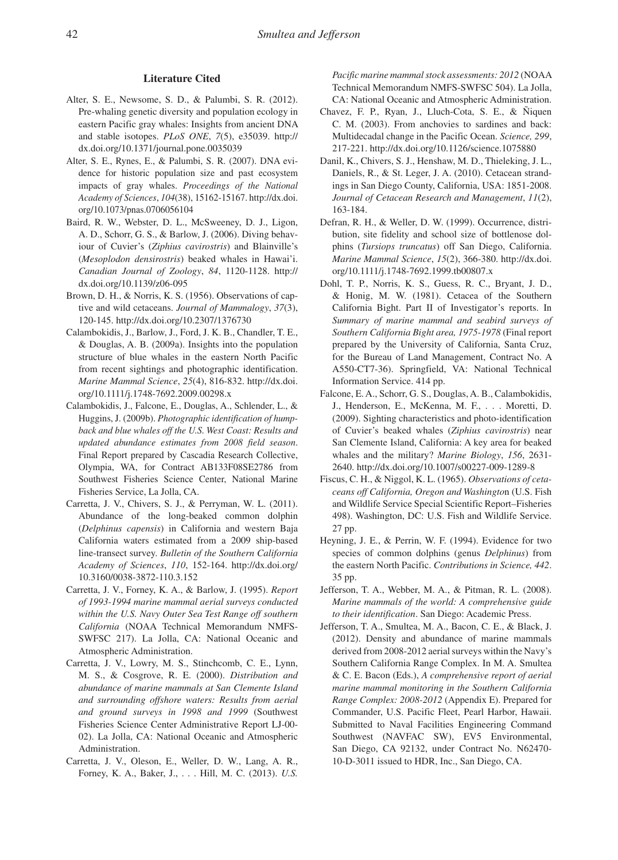#### **Literature Cited**

- Alter, S. E., Newsome, S. D., & Palumbi, S. R. (2012). Pre-whaling genetic diversity and population ecology in eastern Pacific gray whales: Insights from ancient DNA and stable isotopes. *PLoS ONE*, *7*(5), e35039. http:// dx.doi.org/10.1371/journal.pone.0035039
- Alter, S. E., Rynes, E., & Palumbi, S. R. (2007). DNA evidence for historic population size and past ecosystem impacts of gray whales. *Proceedings of the National Academy of Sciences*, *104*(38), 15162-15167. http://dx.doi. org/10.1073/pnas.0706056104
- Baird, R. W., Webster, D. L., McSweeney, D. J., Ligon, A. D., Schorr, G. S., & Barlow, J. (2006). Diving behaviour of Cuvier's (*Ziphius cavirostris*) and Blainville's (*Mesoplodon densirostris*) beaked whales in Hawai'i. *Canadian Journal of Zoology*, *84*, 1120-1128. http:// dx.doi.org/10.1139/z06-095
- Brown, D. H., & Norris, K. S. (1956). Observations of captive and wild cetaceans. *Journal of Mammalogy*, *37*(3), 120-145. http://dx.doi.org/10.2307/1376730
- Calambokidis, J., Barlow, J., Ford, J. K. B., Chandler, T. E., & Douglas, A. B. (2009a). Insights into the population structure of blue whales in the eastern North Pacific from recent sightings and photographic identification. *Marine Mammal Science*, *25*(4), 816-832. http://dx.doi. org/10.1111/j.1748-7692.2009.00298.x
- Calambokidis, J., Falcone, E., Douglas, A., Schlender, L., & Huggins, J. (2009b). *Photographic identification of humpback and blue whales off the U.S. West Coast: Results and updated abundance estimates from 2008 field season*. Final Report prepared by Cascadia Research Collective, Olympia, WA, for Contract AB133F08SE2786 from Southwest Fisheries Science Center, National Marine Fisheries Service, La Jolla, CA.
- Carretta, J. V., Chivers, S. J., & Perryman, W. L. (2011). Abundance of the long-beaked common dolphin (*Delphinus capensis*) in California and western Baja California waters estimated from a 2009 ship-based line-transect survey. *Bulletin of the Southern California Academy of Sciences*, *110*, 152-164. http://dx.doi.org/ 10.3160/0038-3872-110.3.152
- Carretta, J. V., Forney, K. A., & Barlow, J. (1995). *Report of 1993-1994 marine mammal aerial surveys conducted within the U.S. Navy Outer Sea Test Range off southern California* (NOAA Technical Memorandum NMFS-SWFSC 217). La Jolla, CA: National Oceanic and Atmospheric Administration.
- Carretta, J. V., Lowry, M. S., Stinchcomb, C. E., Lynn, M. S., & Cosgrove, R. E. (2000). *Distribution and abundance of marine mammals at San Clemente Island and surrounding offshore waters: Results from aerial and ground surveys in 1998 and 1999* (Southwest Fisheries Science Center Administrative Report LJ-00- 02). La Jolla, CA: National Oceanic and Atmospheric Administration.
- Carretta, J. V., Oleson, E., Weller, D. W., Lang, A. R., Forney, K. A., Baker, J., . . . Hill, M. C. (2013). *U.S.*

*Pacific marine mammal stock assessments: 2012* (NOAA Technical Memorandum NMFS-SWFSC 504). La Jolla, CA: National Oceanic and Atmospheric Administration.

- Chavez, F. P., Ryan, J., Lluch-Cota, S. E., & Ñiquen C. M. (2003). From anchovies to sardines and back: Multidecadal change in the Pacific Ocean. *Science, 299*, 217-221. http://dx.doi.org/10.1126/science.1075880
- Danil, K., Chivers, S. J., Henshaw, M. D., Thieleking, J. L., Daniels, R., & St. Leger, J. A. (2010). Cetacean strandings in San Diego County, California, USA: 1851-2008. *Journal of Cetacean Research and Management*, *11*(2), 163-184.
- Defran, R. H., & Weller, D. W. (1999). Occurrence, distribution, site fidelity and school size of bottlenose dolphins (*Tursiops truncatus*) off San Diego, California. *Marine Mammal Science*, *15*(2), 366-380. http://dx.doi. org/10.1111/j.1748-7692.1999.tb00807.x
- Dohl, T. P., Norris, K. S., Guess, R. C., Bryant, J. D., & Honig, M. W. (1981). Cetacea of the Southern California Bight. Part II of Investigator's reports. In *Summary of marine mammal and seabird surveys of Southern California Bight area, 1975-1978* (Final report prepared by the University of California, Santa Cruz, for the Bureau of Land Management, Contract No. A A550-CT7-36). Springfield, VA: National Technical Information Service. 414 pp.
- Falcone, E. A., Schorr, G. S., Douglas, A. B., Calambokidis, J., Henderson, E., McKenna, M. F., . . . Moretti, D. (2009). Sighting characteristics and photo-identification of Cuvier's beaked whales (*Ziphius cavirostris*) near San Clemente Island, California: A key area for beaked whales and the military? *Marine Biology*, *156*, 2631- 2640. http://dx.doi.org/10.1007/s00227-009-1289-8
- Fiscus, C. H., & Niggol, K. L. (1965). *Observations of cetaceans off California, Oregon and Washingto*n (U.S. Fish and Wildlife Service Special Scientific Report–Fisheries 498). Washington, DC: U.S. Fish and Wildlife Service. 27 pp.
- Heyning, J. E., & Perrin, W. F. (1994). Evidence for two species of common dolphins (genus *Delphinus*) from the eastern North Pacific. *Contributions in Science, 442*. 35 pp.
- Jefferson, T. A., Webber, M. A., & Pitman, R. L. (2008). *Marine mammals of the world: A comprehensive guide to their identification*. San Diego: Academic Press.
- Jefferson, T. A., Smultea, M. A., Bacon, C. E., & Black, J. (2012). Density and abundance of marine mammals derived from 2008-2012 aerial surveys within the Navy's Southern California Range Complex. In M. A. Smultea & C. E. Bacon (Eds.), *A comprehensive report of aerial marine mammal monitoring in the Southern California Range Complex: 2008-2012* (Appendix E). Prepared for Commander, U.S. Pacific Fleet, Pearl Harbor, Hawaii. Submitted to Naval Facilities Engineering Command Southwest (NAVFAC SW), EV5 Environmental, San Diego, CA 92132, under Contract No. N62470- 10-D-3011 issued to HDR, Inc., San Diego, CA.